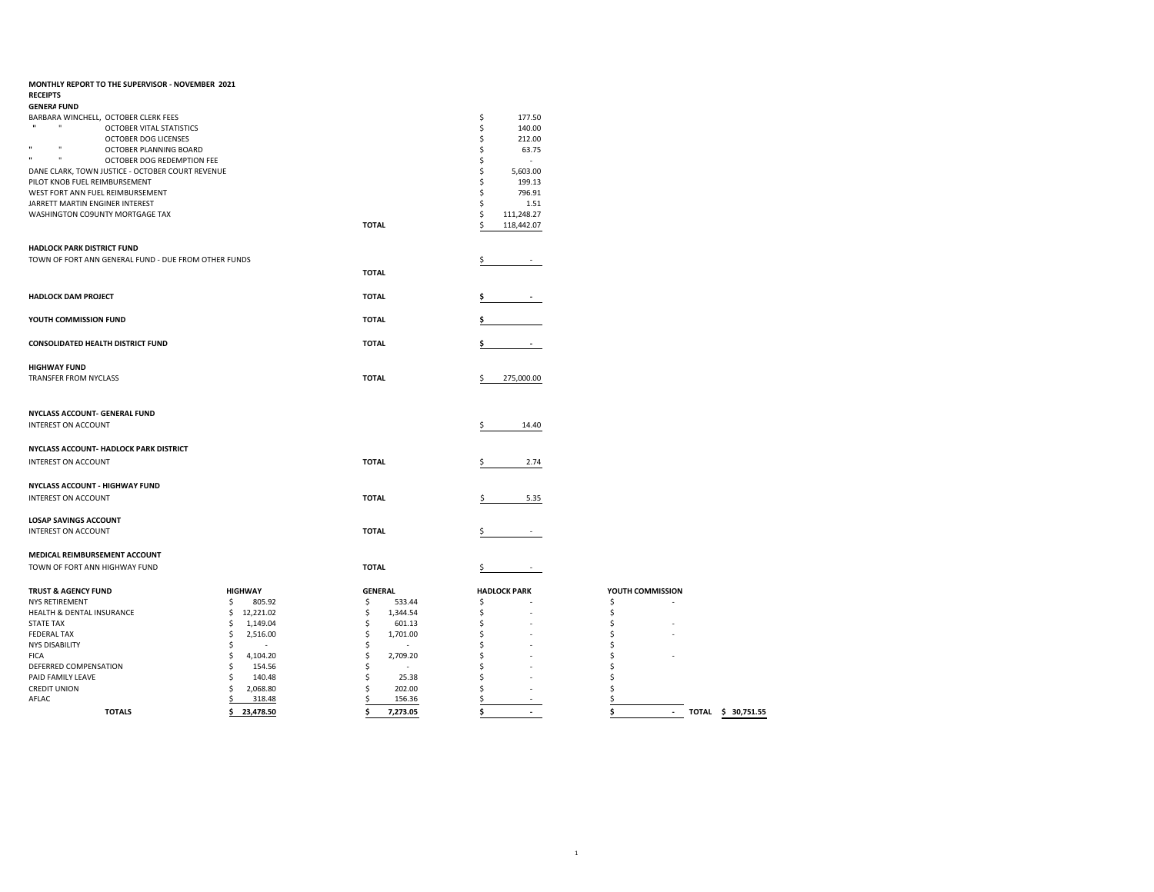| MONTHLY REPORT TO THE SUPERVISOR - NOVEMBER 2021<br><b>RECEIPTS</b>  |                          |                       |                                |                                                         |
|----------------------------------------------------------------------|--------------------------|-----------------------|--------------------------------|---------------------------------------------------------|
| <b>GENERA FUND</b>                                                   |                          |                       |                                |                                                         |
| BARBARA WINCHELL, OCTOBER CLERK FEES                                 |                          |                       | \$<br>177.50                   |                                                         |
| $\mathbf{u}$<br><b>OCTOBER VITAL STATISTICS</b>                      |                          |                       | \$<br>140.00                   |                                                         |
| <b>OCTOBER DOG LICENSES</b><br>$\mathbf{u}$                          |                          |                       | Ś<br>212.00                    |                                                         |
| OCTOBER PLANNING BOARD<br>$\mathbf{u}$<br>OCTOBER DOG REDEMPTION FEE |                          |                       | Ŝ<br>63.75<br>÷                |                                                         |
| DANE CLARK, TOWN JUSTICE - OCTOBER COURT REVENUE                     |                          |                       | Ś<br>5,603.00                  |                                                         |
| PILOT KNOB FUEL REIMBURSEMENT                                        |                          |                       | 199.13<br>\$                   |                                                         |
| WEST FORT ANN FUEL REIMBURSEMENT                                     |                          |                       | 796.91<br>\$                   |                                                         |
| JARRETT MARTIN ENGINER INTEREST                                      |                          |                       | Ś<br>1.51                      |                                                         |
| WASHINGTON CO9UNTY MORTGAGE TAX                                      |                          |                       | 111,248.27<br>\$               |                                                         |
|                                                                      |                          | <b>TOTAL</b>          | 118,442.07                     |                                                         |
| <b>HADLOCK PARK DISTRICT FUND</b>                                    |                          |                       |                                |                                                         |
| TOWN OF FORT ANN GENERAL FUND - DUE FROM OTHER FUNDS                 |                          |                       |                                |                                                         |
|                                                                      |                          | <b>TOTAL</b>          |                                |                                                         |
|                                                                      |                          |                       |                                |                                                         |
| <b>HADLOCK DAM PROJECT</b>                                           |                          | <b>TOTAL</b>          |                                |                                                         |
|                                                                      |                          |                       |                                |                                                         |
| YOUTH COMMISSION FUND                                                |                          | <b>TOTAL</b>          |                                |                                                         |
|                                                                      |                          |                       |                                |                                                         |
| <b>CONSOLIDATED HEALTH DISTRICT FUND</b>                             |                          | <b>TOTAL</b>          |                                |                                                         |
|                                                                      |                          |                       |                                |                                                         |
| <b>HIGHWAY FUND</b><br>TRANSFER FROM NYCLASS                         |                          | <b>TOTAL</b>          | 275,000.00                     |                                                         |
|                                                                      |                          |                       |                                |                                                         |
|                                                                      |                          |                       |                                |                                                         |
| NYCLASS ACCOUNT- GENERAL FUND                                        |                          |                       |                                |                                                         |
| <b>INTEREST ON ACCOUNT</b>                                           |                          |                       | 14.40<br>\$                    |                                                         |
|                                                                      |                          |                       |                                |                                                         |
| NYCLASS ACCOUNT- HADLOCK PARK DISTRICT                               |                          |                       |                                |                                                         |
| <b>INTEREST ON ACCOUNT</b>                                           |                          | <b>TOTAL</b>          | 2.74                           |                                                         |
|                                                                      |                          |                       |                                |                                                         |
| NYCLASS ACCOUNT - HIGHWAY FUND                                       |                          |                       |                                |                                                         |
| <b>INTEREST ON ACCOUNT</b>                                           |                          | <b>TOTAL</b>          | 5.35                           |                                                         |
|                                                                      |                          |                       |                                |                                                         |
| <b>LOSAP SAVINGS ACCOUNT</b>                                         |                          |                       |                                |                                                         |
| <b>INTEREST ON ACCOUNT</b>                                           |                          | <b>TOTAL</b>          |                                |                                                         |
| MEDICAL REIMBURSEMENT ACCOUNT                                        |                          |                       |                                |                                                         |
| TOWN OF FORT ANN HIGHWAY FUND                                        |                          | <b>TOTAL</b>          | Ş                              |                                                         |
|                                                                      |                          |                       |                                |                                                         |
| <b>TRUST &amp; AGENCY FUND</b>                                       | <b>HIGHWAY</b>           | <b>GENERAL</b>        | <b>HADLOCK PARK</b>            | YOUTH COMMISSION                                        |
| <b>NYS RETIREMENT</b>                                                | \$<br>805.92             | \$<br>533.44          | \$                             | \$                                                      |
| HEALTH & DENTAL INSURANCE                                            | 12,221.02<br>\$          | \$<br>1,344.54        | \$                             | \$                                                      |
| <b>STATE TAX</b>                                                     | \$<br>1,149.04           | \$<br>601.13          | \$                             | \$                                                      |
| <b>FEDERAL TAX</b>                                                   | Ś<br>2,516.00            | \$<br>1,701.00        | \$                             | Ś                                                       |
| <b>NYS DISABILITY</b>                                                | Ŝ<br>$\sim$              | Ś<br>$\sim$           | \$                             | S                                                       |
| <b>FICA</b>                                                          | \$<br>4,104.20           | Ś<br>2,709.20         | Ś                              | Ś                                                       |
| DEFERRED COMPENSATION                                                | \$<br>154.56             | Ś                     | Ś                              | Ś                                                       |
| PAID FAMILY LEAVE                                                    | Ś<br>140.48<br>Ś         | Ś<br>25.38            | Ś                              |                                                         |
| <b>CREDIT UNION</b><br>AFLAC                                         | 2,068.80<br>318.48<br>\$ | 202.00<br>Ś<br>156.36 | \$                             | \$                                                      |
| <b>TOTALS</b>                                                        | 23,478.50<br>\$          | \$<br>7,273.05        | \$<br>$\overline{\phantom{a}}$ | \$<br>$\mathcal{L}_{\mathcal{A}}$<br>TOTAL \$ 30,751.55 |
|                                                                      |                          |                       |                                |                                                         |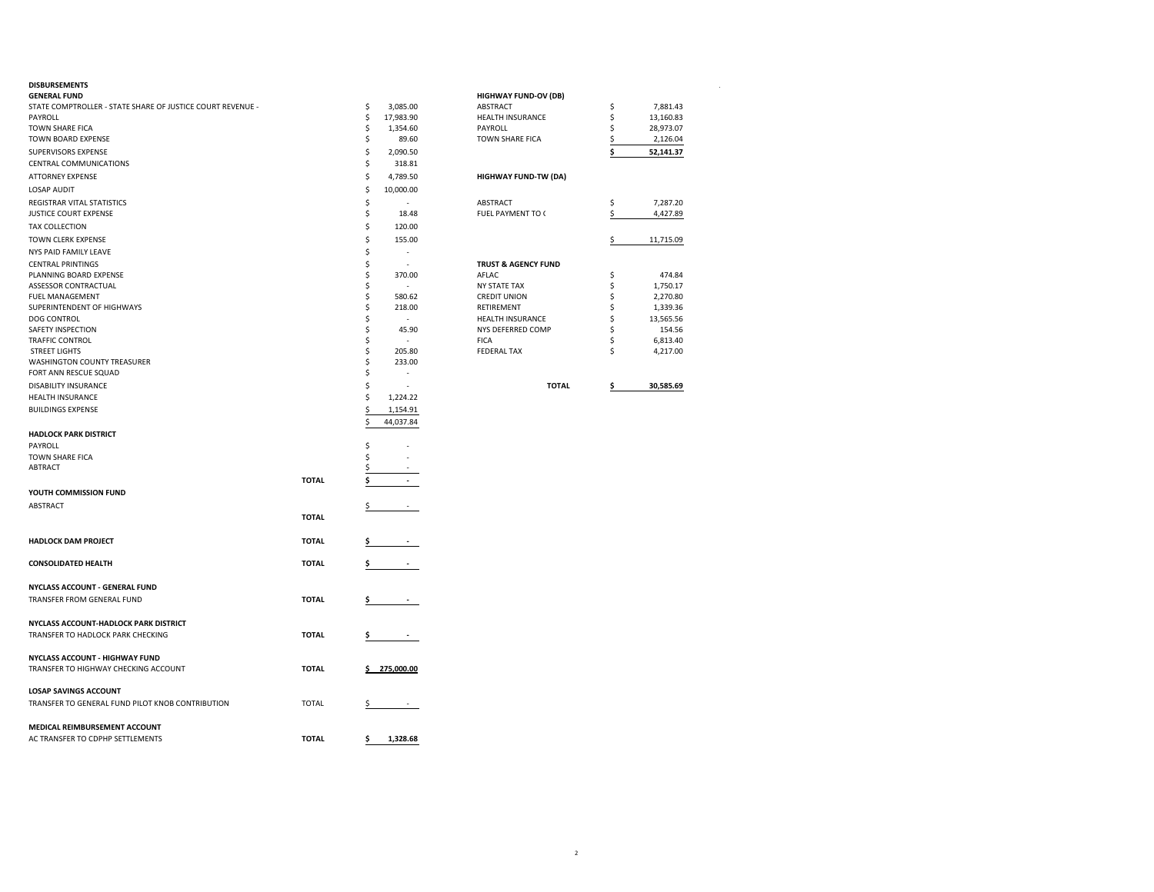### **DISBURSEMENTS** .

| <b>GENERAL FUND</b>                                        |              |    |                          | <b>HIGHWAY FUND-OV (DB)</b>    |                 |
|------------------------------------------------------------|--------------|----|--------------------------|--------------------------------|-----------------|
| STATE COMPTROLLER - STATE SHARE OF JUSTICE COURT REVENUE - |              | \$ | 3,085.00                 | ABSTRACT                       | \$<br>7,881.43  |
| PAYROLL                                                    |              | \$ | 17,983.90                | HEALTH INSURANCE               | \$<br>13,160.83 |
| <b>TOWN SHARE FICA</b>                                     |              | \$ | 1,354.60                 | PAYROLL                        | \$<br>28,973.07 |
| TOWN BOARD EXPENSE                                         |              | \$ | 89.60                    | <b>TOWN SHARE FICA</b>         | \$<br>2,126.04  |
| SUPERVISORS EXPENSE                                        |              | \$ | 2,090.50                 |                                | \$<br>52,141.37 |
| CENTRAL COMMUNICATIONS                                     |              | \$ | 318.81                   |                                |                 |
| <b>ATTORNEY EXPENSE</b>                                    |              | \$ | 4,789.50                 | <b>HIGHWAY FUND-TW (DA)</b>    |                 |
|                                                            |              | \$ |                          |                                |                 |
| <b>LOSAP AUDIT</b>                                         |              |    | 10,000.00                |                                |                 |
| REGISTRAR VITAL STATISTICS                                 |              | \$ | ÷.                       | ABSTRACT                       | \$<br>7,287.20  |
| <b>JUSTICE COURT EXPENSE</b>                               |              | \$ | 18.48                    | FUEL PAYMENT TO (              | \$<br>4,427.89  |
| <b>TAX COLLECTION</b>                                      |              | \$ | 120.00                   |                                |                 |
| <b>TOWN CLERK EXPENSE</b>                                  |              | \$ | 155.00                   |                                | \$<br>11,715.09 |
| NYS PAID FAMILY LEAVE                                      |              | \$ | L,                       |                                |                 |
| <b>CENTRAL PRINTINGS</b>                                   |              | \$ | $\overline{a}$           | <b>TRUST &amp; AGENCY FUND</b> |                 |
| PLANNING BOARD EXPENSE                                     |              | \$ | 370.00                   | AFLAC                          | \$<br>474.84    |
| ASSESSOR CONTRACTUAL                                       |              | \$ | ٠                        | <b>NY STATE TAX</b>            | \$<br>1,750.17  |
| FUEL MANAGEMENT                                            |              | \$ | 580.62                   | <b>CREDIT UNION</b>            | \$<br>2,270.80  |
| SUPERINTENDENT OF HIGHWAYS                                 |              | \$ | 218.00                   | RETIREMENT                     | \$<br>1,339.36  |
| <b>DOG CONTROL</b>                                         |              | \$ | ÷.                       | HEALTH INSURANCE               | \$<br>13,565.56 |
| SAFETY INSPECTION                                          |              | \$ | 45.90                    | NYS DEFERRED COMP              | \$<br>154.56    |
| <b>TRAFFIC CONTROL</b>                                     |              | \$ | $\overline{\phantom{a}}$ | <b>FICA</b>                    | \$<br>6,813.40  |
| <b>STREET LIGHTS</b>                                       |              | \$ | 205.80                   | <b>FEDERAL TAX</b>             | \$<br>4,217.00  |
| WASHINGTON COUNTY TREASURER                                |              | \$ | 233.00                   |                                |                 |
| FORT ANN RESCUE SQUAD                                      |              | \$ | ÷,                       |                                |                 |
|                                                            |              |    |                          |                                |                 |
| DISABILITY INSURANCE                                       |              | \$ | L,                       | <b>TOTAL</b>                   | \$<br>30,585.69 |
| HEALTH INSURANCE                                           |              | \$ | 1,224.22                 |                                |                 |
| <b>BUILDINGS EXPENSE</b>                                   |              | \$ | 1,154.91                 |                                |                 |
|                                                            |              | \$ | 44,037.84                |                                |                 |
| <b>HADLOCK PARK DISTRICT</b>                               |              |    |                          |                                |                 |
| PAYROLL                                                    |              | \$ | ä,                       |                                |                 |
| <b>TOWN SHARE FICA</b>                                     |              | \$ | ä,                       |                                |                 |
| <b>ABTRACT</b>                                             |              | \$ | ٠                        |                                |                 |
|                                                            | <b>TOTAL</b> | \$ | $\overline{\phantom{a}}$ |                                |                 |
|                                                            |              |    |                          |                                |                 |
| YOUTH COMMISSION FUND                                      |              |    |                          |                                |                 |
| <b>ABSTRACT</b>                                            |              |    |                          |                                |                 |
|                                                            | <b>TOTAL</b> |    |                          |                                |                 |
|                                                            |              |    |                          |                                |                 |
| <b>HADLOCK DAM PROJECT</b>                                 | <b>TOTAL</b> |    |                          |                                |                 |
|                                                            |              |    |                          |                                |                 |
| <b>CONSOLIDATED HEALTH</b>                                 | <b>TOTAL</b> |    |                          |                                |                 |
|                                                            |              |    |                          |                                |                 |
| NYCLASS ACCOUNT - GENERAL FUND                             |              |    |                          |                                |                 |
| TRANSFER FROM GENERAL FUND                                 | <b>TOTAL</b> |    |                          |                                |                 |
|                                                            |              |    |                          |                                |                 |
|                                                            |              |    |                          |                                |                 |
| NYCLASS ACCOUNT-HADLOCK PARK DISTRICT                      |              |    |                          |                                |                 |
| TRANSFER TO HADLOCK PARK CHECKING                          | <b>TOTAL</b> | s  | $\sim$                   |                                |                 |
|                                                            |              |    |                          |                                |                 |
| NYCLASS ACCOUNT - HIGHWAY FUND                             |              |    |                          |                                |                 |
| TRANSFER TO HIGHWAY CHECKING ACCOUNT                       | <b>TOTAL</b> |    | \$275,000.00             |                                |                 |
|                                                            |              |    |                          |                                |                 |
| <b>LOSAP SAVINGS ACCOUNT</b>                               |              |    |                          |                                |                 |
| TRANSFER TO GENERAL FUND PILOT KNOB CONTRIBUTION           | <b>TOTAL</b> | \$ |                          |                                |                 |
|                                                            |              |    |                          |                                |                 |
| MEDICAL REIMBURSEMENT ACCOUNT                              |              |    |                          |                                |                 |
| AC TRANSFER TO CDPHP SETTLEMENTS                           | <b>TOTAL</b> | \$ | 1,328.68                 |                                |                 |
|                                                            |              |    |                          |                                |                 |